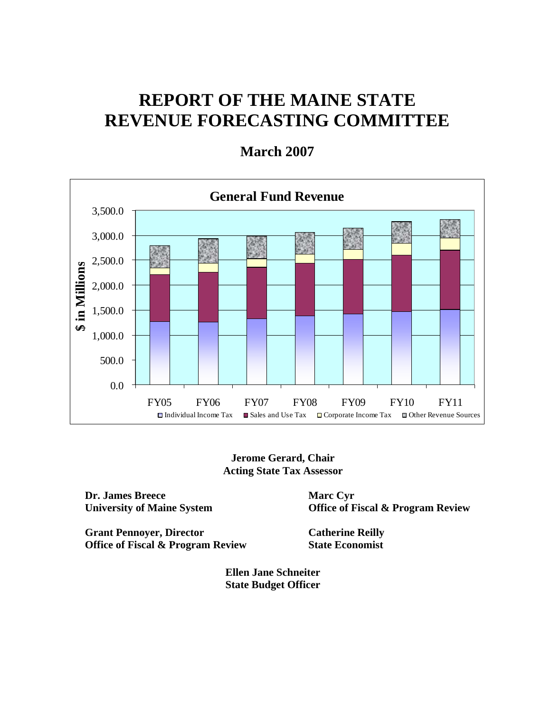# **REPORT OF THE MAINE STATE REVENUE FORECASTING COMMITTEE**



**March 2007** 

**Jerome Gerard, Chair Acting State Tax Assessor** 

**Dr. James Breece University of Maine System** 

**Grant Pennoyer, Director Office of Fiscal & Program Review**  **Marc Cyr Office of Fiscal & Program Review** 

**Catherine Reilly State Economist** 

**Ellen Jane Schneiter State Budget Officer**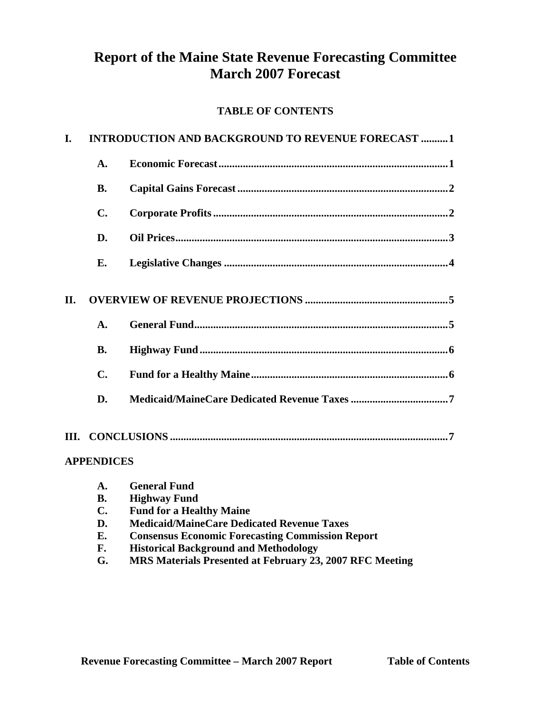# **Report of the Maine State Revenue Forecasting Committee March 2007 Forecast**

# **TABLE OF CONTENTS**

| I.  | <b>INTRODUCTION AND BACKGROUND TO REVENUE FORECAST 1</b> |                       |  |  |  |  |
|-----|----------------------------------------------------------|-----------------------|--|--|--|--|
|     | $\mathbf{A}$ .                                           |                       |  |  |  |  |
|     | <b>B.</b>                                                |                       |  |  |  |  |
|     | $\mathbf{C}$ .                                           |                       |  |  |  |  |
|     | D.                                                       |                       |  |  |  |  |
|     | Е.                                                       |                       |  |  |  |  |
| II. |                                                          |                       |  |  |  |  |
|     | A.                                                       |                       |  |  |  |  |
|     | <b>B.</b>                                                |                       |  |  |  |  |
|     | $\mathbf{C}$ .                                           |                       |  |  |  |  |
|     | D.                                                       |                       |  |  |  |  |
|     |                                                          |                       |  |  |  |  |
|     | <b>APPENDICES</b>                                        |                       |  |  |  |  |
|     |                                                          | <b>A</b> Conoral Fund |  |  |  |  |

| <b>A.</b>      | General Fund                                             |
|----------------|----------------------------------------------------------|
| <b>B.</b>      | <b>Highway Fund</b>                                      |
| $\mathbf{C}$ . | <b>Fund for a Healthy Maine</b>                          |
| D.             | <b>Medicaid/MaineCare Dedicated Revenue Taxes</b>        |
| Е.             | <b>Consensus Economic Forecasting Commission Report</b>  |
| F.             | <b>Historical Background and Methodology</b>             |
| G.             | MRS Materials Presented at February 23, 2007 RFC Meeting |
|                |                                                          |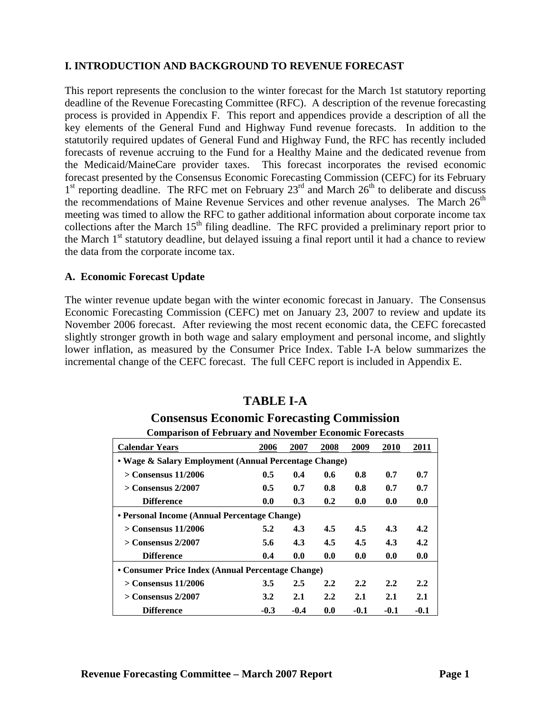#### **I. INTRODUCTION AND BACKGROUND TO REVENUE FORECAST**

This report represents the conclusion to the winter forecast for the March 1st statutory reporting deadline of the Revenue Forecasting Committee (RFC). A description of the revenue forecasting process is provided in Appendix F. This report and appendices provide a description of all the key elements of the General Fund and Highway Fund revenue forecasts. In addition to the statutorily required updates of General Fund and Highway Fund, the RFC has recently included forecasts of revenue accruing to the Fund for a Healthy Maine and the dedicated revenue from the Medicaid/MaineCare provider taxes. This forecast incorporates the revised economic forecast presented by the Consensus Economic Forecasting Commission (CEFC) for its February  $1<sup>st</sup>$  reporting deadline. The RFC met on February 23<sup>rd</sup> and March 26<sup>th</sup> to deliberate and discuss the recommendations of Maine Revenue Services and other revenue analyses. The March  $26<sup>th</sup>$ meeting was timed to allow the RFC to gather additional information about corporate income tax collections after the March  $15<sup>th</sup>$  filing deadline. The RFC provided a preliminary report prior to the March 1<sup>st</sup> statutory deadline, but delayed issuing a final report until it had a chance to review the data from the corporate income tax.

#### **A. Economic Forecast Update**

The winter revenue update began with the winter economic forecast in January. The Consensus Economic Forecasting Commission (CEFC) met on January 23, 2007 to review and update its November 2006 forecast. After reviewing the most recent economic data, the CEFC forecasted slightly stronger growth in both wage and salary employment and personal income, and slightly lower inflation, as measured by the Consumer Price Index. Table I-A below summarizes the incremental change of the CEFC forecast. The full CEFC report is included in Appendix E.

# **TABLE I-A**

# **Consensus Economic Forecasting Commission**

#### **Comparison of February and November Economic Forecasts**

| <b>Calendar Years</b>                                 | 2006          | 2007   | 2008 | 2009   | <b>2010</b>   | 2011   |  |  |
|-------------------------------------------------------|---------------|--------|------|--------|---------------|--------|--|--|
| • Wage & Salary Employment (Annual Percentage Change) |               |        |      |        |               |        |  |  |
| $>$ Consensus 11/2006                                 | 0.5           | 0.4    | 0.6  | 0.8    | 0.7           | 0.7    |  |  |
| $>$ Consensus 2/2007                                  | $0.5^{\circ}$ | 0.7    | 0.8  | 0.8    | 0.7           | 0.7    |  |  |
| <b>Difference</b>                                     | 0.0           | 0.3    | 0.2  | 0.0    | 0.0           | 0.0    |  |  |
| • Personal Income (Annual Percentage Change)          |               |        |      |        |               |        |  |  |
| $>$ Consensus 11/2006                                 | 5.2           | 4.3    | 4.5  | 4.5    | 4.3           | 4.2    |  |  |
| $>$ Consensus 2/2007                                  | 5.6           | 4.3    | 4.5  | 4.5    | 4.3           | 4.2    |  |  |
| <b>Difference</b>                                     | 0.4           | 0.0    | 0.0  | 0.0    | 0.0           | 0.0    |  |  |
| • Consumer Price Index (Annual Percentage Change)     |               |        |      |        |               |        |  |  |
| $>$ Consensus 11/2006                                 | 3.5           | 2.5    | 2.2  | 2.2    | $2.2^{\circ}$ | 2.2    |  |  |
| $>$ Consensus 2/2007                                  | 3.2           | 2.1    | 2.2  | 2.1    | 2.1           | 2.1    |  |  |
| <b>Difference</b>                                     | $-0.3$        | $-0.4$ | 0.0  | $-0.1$ | $-0.1$        | $-0.1$ |  |  |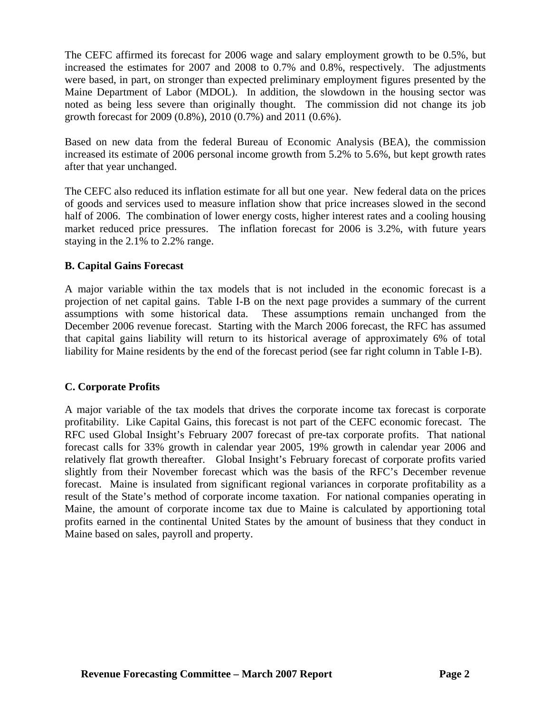The CEFC affirmed its forecast for 2006 wage and salary employment growth to be 0.5%, but increased the estimates for 2007 and 2008 to 0.7% and 0.8%, respectively. The adjustments were based, in part, on stronger than expected preliminary employment figures presented by the Maine Department of Labor (MDOL). In addition, the slowdown in the housing sector was noted as being less severe than originally thought. The commission did not change its job growth forecast for 2009 (0.8%), 2010 (0.7%) and 2011 (0.6%).

Based on new data from the federal Bureau of Economic Analysis (BEA), the commission increased its estimate of 2006 personal income growth from 5.2% to 5.6%, but kept growth rates after that year unchanged.

The CEFC also reduced its inflation estimate for all but one year. New federal data on the prices of goods and services used to measure inflation show that price increases slowed in the second half of 2006. The combination of lower energy costs, higher interest rates and a cooling housing market reduced price pressures. The inflation forecast for 2006 is 3.2%, with future years staying in the 2.1% to 2.2% range.

### **B. Capital Gains Forecast**

A major variable within the tax models that is not included in the economic forecast is a projection of net capital gains. Table I-B on the next page provides a summary of the current assumptions with some historical data. These assumptions remain unchanged from the December 2006 revenue forecast. Starting with the March 2006 forecast, the RFC has assumed that capital gains liability will return to its historical average of approximately 6% of total liability for Maine residents by the end of the forecast period (see far right column in Table I-B).

### **C. Corporate Profits**

A major variable of the tax models that drives the corporate income tax forecast is corporate profitability. Like Capital Gains, this forecast is not part of the CEFC economic forecast. The RFC used Global Insight's February 2007 forecast of pre-tax corporate profits. That national forecast calls for 33% growth in calendar year 2005, 19% growth in calendar year 2006 and relatively flat growth thereafter. Global Insight's February forecast of corporate profits varied slightly from their November forecast which was the basis of the RFC's December revenue forecast. Maine is insulated from significant regional variances in corporate profitability as a result of the State's method of corporate income taxation. For national companies operating in Maine, the amount of corporate income tax due to Maine is calculated by apportioning total profits earned in the continental United States by the amount of business that they conduct in Maine based on sales, payroll and property.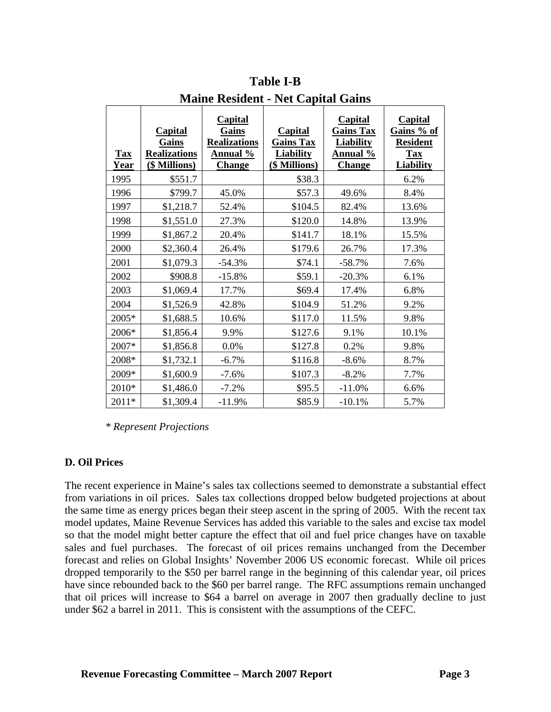| <b>Tax</b><br>Year | <b>Capital</b><br>Gains<br><b>Realizations</b><br>(\$ Millions) | <b>Capital</b><br>Gains<br><b>Realizations</b><br><b>Annual</b> %<br><b>Change</b> | <b>Capital</b><br><b>Gains Tax</b><br><b>Liability</b><br>(\$ Millions) | <b>Capital</b><br><b>Gains Tax</b><br><b>Liability</b><br><b>Annual</b> %<br><b>Change</b> | <b>Capital</b><br>Gains % of<br><b>Resident</b><br><b>Tax</b><br><b>Liability</b> |
|--------------------|-----------------------------------------------------------------|------------------------------------------------------------------------------------|-------------------------------------------------------------------------|--------------------------------------------------------------------------------------------|-----------------------------------------------------------------------------------|
| 1995               | \$551.7                                                         |                                                                                    | \$38.3                                                                  |                                                                                            | 6.2%                                                                              |
| 1996               | \$799.7                                                         | 45.0%                                                                              | \$57.3                                                                  | 49.6%                                                                                      | 8.4%                                                                              |
| 1997               | \$1,218.7                                                       | 52.4%                                                                              | \$104.5                                                                 | 82.4%                                                                                      | 13.6%                                                                             |
| 1998               | \$1,551.0                                                       | 27.3%                                                                              | \$120.0                                                                 | 14.8%                                                                                      | 13.9%                                                                             |
| 1999               | \$1,867.2                                                       | 20.4%                                                                              | \$141.7                                                                 | 18.1%                                                                                      | 15.5%                                                                             |
| 2000               | \$2,360.4                                                       | 26.4%                                                                              | \$179.6                                                                 | 26.7%                                                                                      | 17.3%                                                                             |
| 2001               | \$1,079.3                                                       | $-54.3%$                                                                           | \$74.1                                                                  | $-58.7%$                                                                                   | 7.6%                                                                              |
| 2002               | \$908.8                                                         | $-15.8%$                                                                           | \$59.1                                                                  | $-20.3%$                                                                                   | 6.1%                                                                              |
| 2003               | \$1,069.4                                                       | 17.7%                                                                              | \$69.4                                                                  | 17.4%                                                                                      | 6.8%                                                                              |
| 2004               | \$1,526.9                                                       | 42.8%                                                                              | \$104.9                                                                 | 51.2%                                                                                      | 9.2%                                                                              |
| 2005*              | \$1,688.5                                                       | 10.6%                                                                              | \$117.0                                                                 | 11.5%                                                                                      | 9.8%                                                                              |
| 2006*              | \$1,856.4                                                       | 9.9%                                                                               | \$127.6                                                                 | 9.1%                                                                                       | 10.1%                                                                             |
| 2007*              | \$1,856.8                                                       | $0.0\%$                                                                            | \$127.8                                                                 | 0.2%                                                                                       | 9.8%                                                                              |
| 2008*              | \$1,732.1                                                       | $-6.7%$                                                                            | \$116.8                                                                 | $-8.6%$                                                                                    | 8.7%                                                                              |
| 2009*              | \$1,600.9                                                       | $-7.6%$                                                                            | \$107.3                                                                 | $-8.2%$                                                                                    | 7.7%                                                                              |
| $2010*$            | \$1,486.0                                                       | $-7.2%$                                                                            | \$95.5                                                                  | $-11.0%$                                                                                   | 6.6%                                                                              |
| 2011*              | \$1,309.4                                                       | $-11.9%$                                                                           | \$85.9                                                                  | $-10.1%$                                                                                   | 5.7%                                                                              |

**Table I-B Maine Resident - Net Capital Gains** 

 *\* Represent Projections* 

### **D. Oil Prices**

The recent experience in Maine's sales tax collections seemed to demonstrate a substantial effect from variations in oil prices. Sales tax collections dropped below budgeted projections at about the same time as energy prices began their steep ascent in the spring of 2005. With the recent tax model updates, Maine Revenue Services has added this variable to the sales and excise tax model so that the model might better capture the effect that oil and fuel price changes have on taxable sales and fuel purchases. The forecast of oil prices remains unchanged from the December forecast and relies on Global Insights' November 2006 US economic forecast. While oil prices dropped temporarily to the \$50 per barrel range in the beginning of this calendar year, oil prices have since rebounded back to the \$60 per barrel range. The RFC assumptions remain unchanged that oil prices will increase to \$64 a barrel on average in 2007 then gradually decline to just under \$62 a barrel in 2011. This is consistent with the assumptions of the CEFC.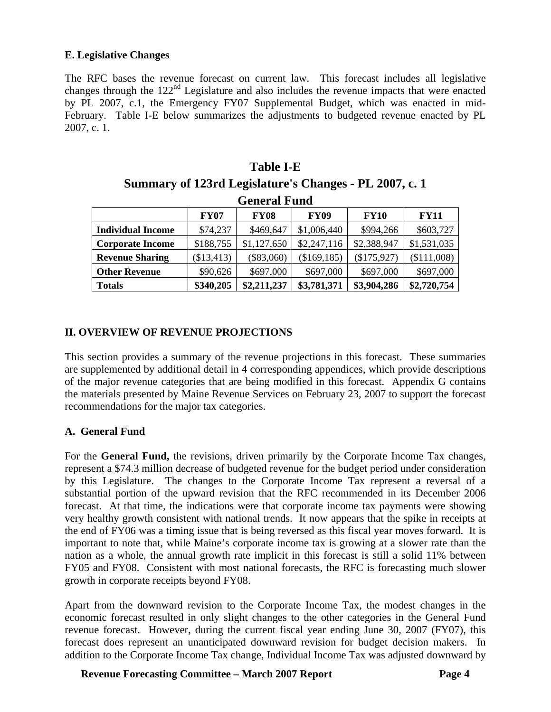#### **E. Legislative Changes**

The RFC bases the revenue forecast on current law. This forecast includes all legislative changes through the 122<sup>nd</sup> Legislature and also includes the revenue impacts that were enacted by PL 2007, c.1, the Emergency FY07 Supplemental Budget, which was enacted in mid-February. Table I-E below summarizes the adjustments to budgeted revenue enacted by PL 2007, c. 1.

| ташс г-е                                                                               |                                                                         |                     |              |             |             |  |  |  |  |
|----------------------------------------------------------------------------------------|-------------------------------------------------------------------------|---------------------|--------------|-------------|-------------|--|--|--|--|
| Summary of 123rd Legislature's Changes - PL 2007, c. 1                                 |                                                                         |                     |              |             |             |  |  |  |  |
|                                                                                        |                                                                         |                     |              |             |             |  |  |  |  |
|                                                                                        |                                                                         | <b>General Fund</b> |              |             |             |  |  |  |  |
|                                                                                        | <b>FY07</b><br><b>FY09</b><br><b>FY10</b><br><b>FY08</b><br><b>FY11</b> |                     |              |             |             |  |  |  |  |
| <b>Individual Income</b>                                                               | \$74,237                                                                | \$469,647           | \$1,006,440  | \$994,266   | \$603,727   |  |  |  |  |
| <b>Corporate Income</b>                                                                | \$188,755                                                               | \$1,127,650         | \$2,247,116  | \$2,388,947 | \$1,531,035 |  |  |  |  |
| <b>Revenue Sharing</b>                                                                 | (\$13,413)                                                              | $(\$83,060)$        | (\$169, 185) | (\$175,927) | (\$111,008) |  |  |  |  |
| <b>Other Revenue</b>                                                                   | \$90,626                                                                | \$697,000           | \$697,000    | \$697,000   | \$697,000   |  |  |  |  |
| \$340,205<br>\$2,720,754<br>\$3,781,371<br>\$3,904,286<br>\$2,211,237<br><b>Totals</b> |                                                                         |                     |              |             |             |  |  |  |  |

**Table I-E** 

### **II. OVERVIEW OF REVENUE PROJECTIONS**

This section provides a summary of the revenue projections in this forecast. These summaries are supplemented by additional detail in 4 corresponding appendices, which provide descriptions of the major revenue categories that are being modified in this forecast. Appendix G contains the materials presented by Maine Revenue Services on February 23, 2007 to support the forecast recommendations for the major tax categories.

#### **A. General Fund**

For the **General Fund,** the revisions, driven primarily by the Corporate Income Tax changes, represent a \$74.3 million decrease of budgeted revenue for the budget period under consideration by this Legislature. The changes to the Corporate Income Tax represent a reversal of a substantial portion of the upward revision that the RFC recommended in its December 2006 forecast. At that time, the indications were that corporate income tax payments were showing very healthy growth consistent with national trends. It now appears that the spike in receipts at the end of FY06 was a timing issue that is being reversed as this fiscal year moves forward. It is important to note that, while Maine's corporate income tax is growing at a slower rate than the nation as a whole, the annual growth rate implicit in this forecast is still a solid 11% between FY05 and FY08. Consistent with most national forecasts, the RFC is forecasting much slower growth in corporate receipts beyond FY08.

Apart from the downward revision to the Corporate Income Tax, the modest changes in the economic forecast resulted in only slight changes to the other categories in the General Fund revenue forecast. However, during the current fiscal year ending June 30, 2007 (FY07), this forecast does represent an unanticipated downward revision for budget decision makers. In addition to the Corporate Income Tax change, Individual Income Tax was adjusted downward by

**Revenue Forecasting Committee – March 2007 Report Page 4**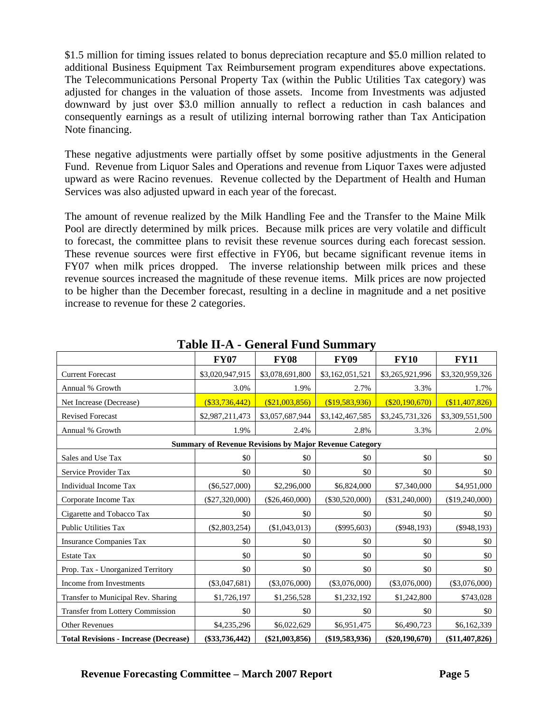\$1.5 million for timing issues related to bonus depreciation recapture and \$5.0 million related to additional Business Equipment Tax Reimbursement program expenditures above expectations. The Telecommunications Personal Property Tax (within the Public Utilities Tax category) was adjusted for changes in the valuation of those assets. Income from Investments was adjusted downward by just over \$3.0 million annually to reflect a reduction in cash balances and consequently earnings as a result of utilizing internal borrowing rather than Tax Anticipation Note financing.

These negative adjustments were partially offset by some positive adjustments in the General Fund. Revenue from Liquor Sales and Operations and revenue from Liquor Taxes were adjusted upward as were Racino revenues. Revenue collected by the Department of Health and Human Services was also adjusted upward in each year of the forecast.

The amount of revenue realized by the Milk Handling Fee and the Transfer to the Maine Milk Pool are directly determined by milk prices. Because milk prices are very volatile and difficult to forecast, the committee plans to revisit these revenue sources during each forecast session. These revenue sources were first effective in FY06, but became significant revenue items in FY07 when milk prices dropped. The inverse relationship between milk prices and these revenue sources increased the magnitude of these revenue items. Milk prices are now projected to be higher than the December forecast, resulting in a decline in magnitude and a net positive increase to revenue for these 2 categories.

|                                              | <b>FY07</b>                                                   | <b>FY08</b>      | <b>FY09</b>      | <b>FY10</b>      | <b>FY11</b>     |
|----------------------------------------------|---------------------------------------------------------------|------------------|------------------|------------------|-----------------|
| <b>Current Forecast</b>                      | \$3,020,947,915                                               | \$3,078,691,800  | \$3,162,051,521  | \$3,265,921,996  | \$3,320,959,326 |
| Annual % Growth                              | 3.0%                                                          | 1.9%             | 2.7%             | 3.3%             | 1.7%            |
| Net Increase (Decrease)                      | $($ \$33,736,442)                                             | (\$21,003,856)   | (\$19,583,936)   | (\$20,190,670)   | \$11,407,826    |
| <b>Revised Forecast</b>                      | \$2,987,211,473                                               | \$3,057,687,944  | \$3,142,467,585  | \$3,245,731,326  | \$3,309,551,500 |
| Annual % Growth                              | 1.9%                                                          | 2.4%             | 2.8%             | 3.3%             | 2.0%            |
|                                              | <b>Summary of Revenue Revisions by Major Revenue Category</b> |                  |                  |                  |                 |
| Sales and Use Tax                            | \$0                                                           | \$0              | \$0              | \$0              | \$0             |
| Service Provider Tax                         | \$0                                                           | \$0              | \$0              | \$0              | \$0             |
| Individual Income Tax                        | $(\$6,527,000)$                                               | \$2,296,000      | \$6,824,000      | \$7,340,000      | \$4,951,000     |
| Corporate Income Tax                         | $(\$27,320,000)$                                              | (\$26,460,000)   | $(\$30,520,000)$ | $(\$31,240,000)$ | (\$19,240,000)  |
| Cigarette and Tobacco Tax                    | \$0                                                           | \$0              | \$0              | \$0              | \$0             |
| <b>Public Utilities Tax</b>                  | $(\$2,803,254)$                                               | (\$1,043,013)    | $(\$995,603)$    | $(\$948,193)$    | $($ \$948,193)  |
| <b>Insurance Companies Tax</b>               | \$0                                                           | \$0              | \$0              | \$0              | \$0             |
| <b>Estate Tax</b>                            | \$0                                                           | \$0              | \$0              | \$0              | \$0             |
| Prop. Tax - Unorganized Territory            | \$0                                                           | \$0              | \$0              | \$0              | \$0             |
| Income from Investments                      | $(\$3,047,681)$                                               | $(\$3,076,000)$  | $(\$3,076,000)$  | $(\$3,076,000)$  | $(\$3,076,000)$ |
| Transfer to Municipal Rev. Sharing           | \$1,726,197                                                   | \$1,256,528      | \$1,232,192      | \$1,242,800      | \$743,028       |
| <b>Transfer from Lottery Commission</b>      | \$0                                                           | \$0              | \$0              | \$0              | \$0             |
| <b>Other Revenues</b>                        | \$4,235,296                                                   | \$6,022,629      | \$6,951,475      | \$6,490,723      | \$6,162,339     |
| <b>Total Revisions - Increase (Decrease)</b> | $(\$33,736,442)$                                              | $(\$21,003,856)$ | $(\$19,583,936)$ | $(\$20,190,670)$ | (\$11,407,826)  |

**Table II-A - General Fund Summary**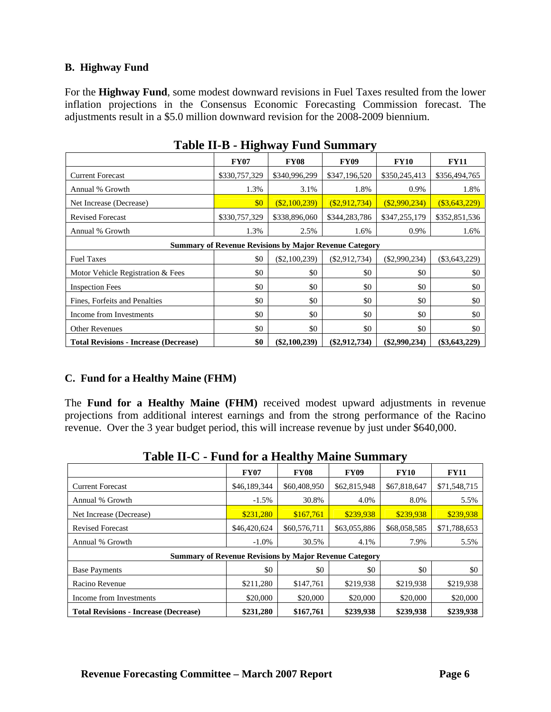#### **B. Highway Fund**

For the **Highway Fund**, some modest downward revisions in Fuel Taxes resulted from the lower inflation projections in the Consensus Economic Forecasting Commission forecast. The adjustments result in a \$5.0 million downward revision for the 2008-2009 biennium.

|                                                               | <b>FY07</b>   | <b>FY08</b>     | <b>FY09</b>     | <b>FY10</b>     | <b>FY11</b>     |  |  |  |
|---------------------------------------------------------------|---------------|-----------------|-----------------|-----------------|-----------------|--|--|--|
| <b>Current Forecast</b>                                       | \$330,757,329 | \$340,996,299   | \$347,196,520   | \$350,245,413   | \$356,494,765   |  |  |  |
| Annual % Growth                                               | 1.3%          | 3.1%            | 1.8%            | 0.9%            | 1.8%            |  |  |  |
| Net Increase (Decrease)                                       | \$0           | (S2,100,239)    | (S2, 912, 734)  | $(\$2,990,234)$ | (S3, 643, 229)  |  |  |  |
| <b>Revised Forecast</b>                                       | \$330,757,329 | \$338,896,060   | \$344,283,786   | \$347,255,179   | \$352,851,536   |  |  |  |
| Annual % Growth                                               | 1.3%          | 2.5%            | 1.6%            | 0.9%            | 1.6%            |  |  |  |
| <b>Summary of Revenue Revisions by Major Revenue Category</b> |               |                 |                 |                 |                 |  |  |  |
| <b>Fuel Taxes</b>                                             | \$0           | $(\$2,100,239)$ | $(\$2,912,734)$ | $(\$2,990,234)$ | $(\$3,643,229)$ |  |  |  |
| Motor Vehicle Registration & Fees                             | \$0           | \$0             | \$0             | \$0             | \$0             |  |  |  |
| <b>Inspection Fees</b>                                        | \$0           | \$0             | \$0             | \$0             | \$0             |  |  |  |
| Fines, Forfeits and Penalties                                 | \$0           | \$0             | \$0             | \$0             | \$0             |  |  |  |
| Income from Investments                                       | \$0           | \$0             | \$0             | \$0             | \$0             |  |  |  |
| <b>Other Revenues</b>                                         | \$0           | \$0             | \$0             | \$0             | \$0             |  |  |  |
| <b>Total Revisions - Increase (Decrease)</b>                  | \$0           | $(\$2,100,239)$ | $(\$2,912,734)$ | $(\$2,990,234)$ | $(\$3,643,229)$ |  |  |  |

### **Table II-B - Highway Fund Summary**

#### **C. Fund for a Healthy Maine (FHM)**

The **Fund for a Healthy Maine (FHM)** received modest upward adjustments in revenue projections from additional interest earnings and from the strong performance of the Racino revenue. Over the 3 year budget period, this will increase revenue by just under \$640,000.

| <u> 1 avit 11-C - I unu for a fitanny manit Summary</u>       |              |              |              |              |              |  |  |  |
|---------------------------------------------------------------|--------------|--------------|--------------|--------------|--------------|--|--|--|
|                                                               | <b>FY07</b>  | <b>FY08</b>  | <b>FY09</b>  | <b>FY10</b>  | <b>FY11</b>  |  |  |  |
| <b>Current Forecast</b>                                       | \$46,189,344 | \$60,408,950 | \$62,815,948 | \$67,818,647 | \$71,548,715 |  |  |  |
| Annual % Growth                                               | $-1.5\%$     | 30.8%        | 4.0%         | 8.0%         | 5.5%         |  |  |  |
| Net Increase (Decrease)                                       | \$231,280    | \$167,761    | \$239,938    | \$239.938    | \$239,938    |  |  |  |
| <b>Revised Forecast</b>                                       | \$46,420,624 | \$60,576,711 | \$63,055,886 | \$68,058,585 | \$71,788,653 |  |  |  |
| Annual % Growth                                               | $-1.0\%$     | 30.5%        | 4.1%         | 7.9%         | 5.5%         |  |  |  |
| <b>Summary of Revenue Revisions by Major Revenue Category</b> |              |              |              |              |              |  |  |  |
| <b>Base Payments</b>                                          | \$0          | \$0          | \$0          | \$0          | \$0          |  |  |  |
| Racino Revenue                                                | \$211,280    | \$147,761    | \$219,938    | \$219,938    | \$219,938    |  |  |  |
| Income from Investments                                       | \$20,000     | \$20,000     | \$20,000     | \$20,000     | \$20,000     |  |  |  |
| <b>Total Revisions - Increase (Decrease)</b>                  | \$231,280    | \$167,761    | \$239,938    | \$239,938    | \$239,938    |  |  |  |

# **Table II-C - Fund for a Healthy Maine Summary**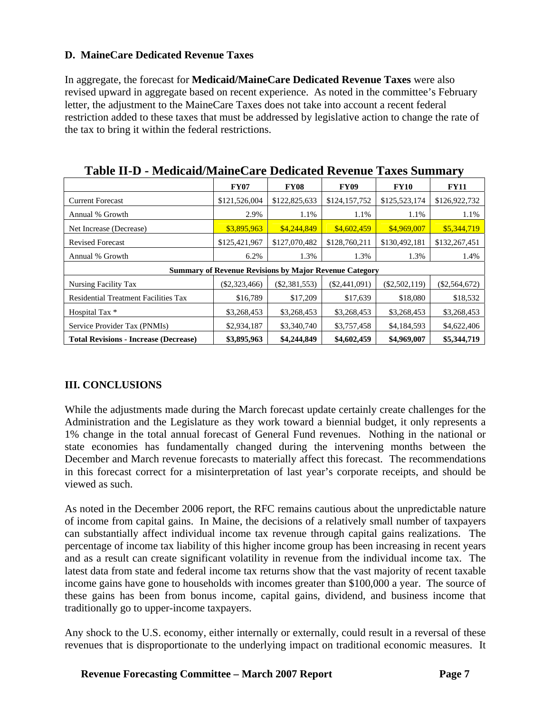### **D. MaineCare Dedicated Revenue Taxes**

In aggregate, the forecast for **Medicaid/MaineCare Dedicated Revenue Taxes** were also revised upward in aggregate based on recent experience. As noted in the committee's February letter, the adjustment to the MaineCare Taxes does not take into account a recent federal restriction added to these taxes that must be addressed by legislative action to change the rate of the tax to bring it within the federal restrictions.

|                                              | <b>FY07</b>                                                   | <b>FY08</b>     | <b>FY09</b>     | <b>FY10</b>     | <b>FY11</b>     |  |  |
|----------------------------------------------|---------------------------------------------------------------|-----------------|-----------------|-----------------|-----------------|--|--|
| <b>Current Forecast</b>                      | \$121,526,004                                                 | \$122,825,633   | \$124,157,752   | \$125,523,174   | \$126,922,732   |  |  |
| Annual % Growth                              | 2.9%                                                          | 1.1%            | 1.1%            | 1.1%            | 1.1%            |  |  |
| Net Increase (Decrease)                      | \$3,895,963                                                   | \$4,244,849     | \$4,602,459     | \$4,969,007     | \$5,344,719     |  |  |
| <b>Revised Forecast</b>                      | \$125,421,967                                                 | \$127,070,482   | \$128,760,211   | \$130,492,181   | \$132,267,451   |  |  |
| Annual % Growth                              | 6.2%                                                          | 1.3%            | 1.3%            | 1.3%            | 1.4%            |  |  |
|                                              | <b>Summary of Revenue Revisions by Major Revenue Category</b> |                 |                 |                 |                 |  |  |
| Nursing Facility Tax                         | $(\$2,323,466)$                                               | $(\$2,381,553)$ | $(\$2,441,091)$ | $(\$2,502,119)$ | $(\$2,564,672)$ |  |  |
| <b>Residential Treatment Facilities Tax</b>  | \$16,789                                                      | \$17,209        | \$17,639        | \$18,080        | \$18,532        |  |  |
| Hospital Tax *                               | \$3,268,453                                                   | \$3,268,453     | \$3,268,453     | \$3,268,453     | \$3,268,453     |  |  |
| Service Provider Tax (PNMIs)                 | \$2,934,187                                                   | \$3,340,740     | \$3,757,458     | \$4,184,593     | \$4,622,406     |  |  |
| <b>Total Revisions - Increase (Decrease)</b> | \$3,895,963                                                   | \$4,244,849     | \$4,602,459     | \$4,969,007     | \$5,344,719     |  |  |

**Table II-D - Medicaid/MaineCare Dedicated Revenue Taxes Summary** 

### **III. CONCLUSIONS**

While the adjustments made during the March forecast update certainly create challenges for the Administration and the Legislature as they work toward a biennial budget, it only represents a 1% change in the total annual forecast of General Fund revenues. Nothing in the national or state economies has fundamentally changed during the intervening months between the December and March revenue forecasts to materially affect this forecast. The recommendations in this forecast correct for a misinterpretation of last year's corporate receipts, and should be viewed as such.

As noted in the December 2006 report, the RFC remains cautious about the unpredictable nature of income from capital gains. In Maine, the decisions of a relatively small number of taxpayers can substantially affect individual income tax revenue through capital gains realizations. The percentage of income tax liability of this higher income group has been increasing in recent years and as a result can create significant volatility in revenue from the individual income tax. The latest data from state and federal income tax returns show that the vast majority of recent taxable income gains have gone to households with incomes greater than \$100,000 a year. The source of these gains has been from bonus income, capital gains, dividend, and business income that traditionally go to upper-income taxpayers.

Any shock to the U.S. economy, either internally or externally, could result in a reversal of these revenues that is disproportionate to the underlying impact on traditional economic measures. It